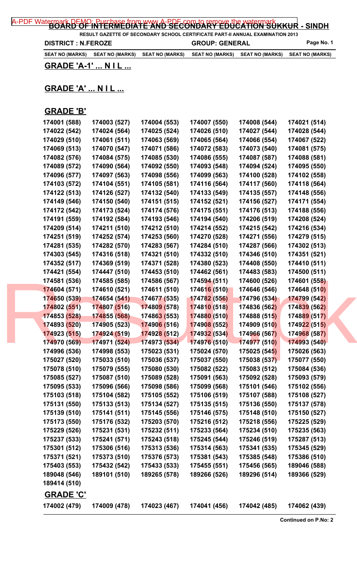| A-PDF Watermark DEMO; Purchase from tww.A-PDF.com.to.remove.the watermark KKUR - SINDH |
|----------------------------------------------------------------------------------------|
|----------------------------------------------------------------------------------------|

**RESULT GAZETTE OF SECONDARY SCHOOL CERTIFICATE PART-II ANNUAL EXAMINATION 2013 DISTRICT : N.FEROZE GROUP: GENERAL Page No. 1** 

**SEAT NO (MARKS) SEAT NO (MARKS) SEAT NO (MARKS) SEAT NO (MARKS) SEAT NO (MARKS) SEAT NO (MARKS)**

**GRADE 'A-1' ... N I L ...**

## **GRADE 'A' ... N I L ...**

## **GRADE 'B'**

| 174001 (588)     | 174003 (527) | 174004 (553) | 174007 (550) | 174008 (544)        | 174021 (514) |  |
|------------------|--------------|--------------|--------------|---------------------|--------------|--|
| 174022 (542)     | 174024 (564) | 174025 (524) | 174026 (510) | 174027 (544)        | 174028 (544) |  |
| 174029 (510)     | 174061 (511) | 174063 (569) | 174065 (564) | 174066 (554)        | 174067 (522) |  |
| 174069 (513)     | 174070 (547) | 174071 (586) | 174072 (583) | 174073 (540)        | 174081 (575) |  |
| 174082 (576)     | 174084 (575) | 174085 (530) | 174086 (555) | 174087 (587)        | 174088 (581) |  |
| 174089 (572)     | 174090 (564) | 174092 (550) | 174093 (548) | 174094 (524)        | 174095 (550) |  |
| 174096 (577)     | 174097 (563) | 174098 (556) | 174099 (563) | 174100 (528)        | 174102 (558) |  |
| 174103 (572)     | 174104 (551) | 174105 (581) | 174116 (564) | 174117 (560)        | 174118 (564) |  |
| 174122 (513)     | 174126 (527) | 174132 (540) | 174133 (549) | 174135 (557)        | 174148 (556) |  |
| 174149 (546)     | 174150 (540) | 174151 (515) | 174152 (521) | 174156 (527)        | 174171 (554) |  |
| 174172 (542)     | 174173 (524) | 174174 (576) | 174175 (551) | 174176 (513)        | 174188 (556) |  |
| 174191 (559)     | 174192 (584) | 174193 (546) | 174194 (540) | 174206 (519)        | 174208 (524) |  |
| 174209 (514)     | 174211 (510) | 174212 (510) | 174214 (552) | 174215 (542)        | 174216 (534) |  |
| 174251 (519)     | 174252 (574) | 174253 (560) | 174270 (528) | 174271 (556)        | 174279 (515) |  |
| 174281 (535)     | 174282 (570) | 174283 (567) | 174284 (510) | 174287 (566)        | 174302 (513) |  |
| 174303 (545)     | 174316 (518) | 174321 (510) | 174332 (510) | 174346 (510)        | 174351 (521) |  |
| 174352 (517)     | 174369 (519) | 174371 (528) | 174380 (523) | 174408 (550)        | 174410 (511) |  |
| 174421 (554)     | 174447 (510) | 174453 (510) | 174462 (561) | 174483 (583)        | 174500 (511) |  |
| 174581 (536)     | 174585 (585) | 174586 (567) | 174594 (511) | 174600 (526)        | 174601 (558) |  |
| 174604 (571)     | 174610 (521) | 174611 (510) | 174616 (510) | 174646 (546)        | 174648 (510) |  |
| 174650 (539)     | 174654 (541) | 174677 (535) | 174782 (556) | 174796 (534)        | 174799 (542) |  |
| 174802 (551)     | 174807 (516) | 174809 (578) | 174810 (518) | 174836 (562)        | 174839 (562) |  |
| 174853 (528)     | 174855 (568) | 174863 (553) | 174880 (510) | 174888 (515)        | 174889 (517) |  |
| 174893 (520)     | 174905 (523) | 174906 (516) | 174908 (552) | 174909 (510)        | 174922 (515) |  |
| 174923 (515)     | 174924 (519) | 174928 (512) | 174932 (534) | 174966 (567)        | 174968 (587) |  |
| 174970 (569)     | 174971 (524) | 174973 (534) | 174976 (510) | 174977 (510)        | 174993 (540) |  |
| 174996 (536)     | 174998 (553) | 175023 (531) | 175024 (570) | <b>175025 (545)</b> | 175026 (563) |  |
| 175027 (520)     | 175033 (510) | 175036 (537) | 175037 (550) | 175038 (537)        | 175077 (550) |  |
| 175078 (510)     | 175079 (555) | 175080 (530) | 175082 (522) | 175083 (512)        | 175084 (536) |  |
| 175085 (527)     | 175087 (510) | 175089 (528) | 175091 (563) | 175092 (528)        | 175093 (579) |  |
| 175095 (533)     | 175096 (566) | 175098 (586) | 175099 (568) | 175101 (546)        | 175102 (556) |  |
| 175103 (518)     | 175104 (582) | 175105 (552) | 175106 (519) | 175107 (588)        | 175108 (527) |  |
| 175131 (550)     | 175133 (513) | 175134 (527) | 175135 (515) | 175136 (550)        | 175137 (578) |  |
| 175139 (510)     | 175141 (511) | 175145 (556) | 175146 (575) | 175148 (510)        | 175150 (527) |  |
| 175173 (550)     | 175176 (532) | 175203 (570) | 175216 (512) | 175218 (556)        | 175225 (529) |  |
| 175229 (526)     | 175231 (531) | 175232 (511) | 175233 (564) | 175234 (510)        | 175235 (563) |  |
| 175237 (533)     | 175241 (571) | 175243 (518) | 175245 (544) | 175246 (519)        | 175287 (513) |  |
| 175301 (512)     | 175306 (516) | 175313 (536) | 175314 (563) | 175341 (535)        | 175345 (529) |  |
| 175371 (521)     | 175373 (510) | 175376 (573) | 175381 (543) | 175385 (548)        | 175386 (510) |  |
| 175403 (553)     | 175432 (542) | 175433 (533) | 175455 (551) | 175456 (565)        | 189046 (588) |  |
| 189048 (546)     | 189101 (510) | 189265 (578) | 189266 (526) | 189296 (514)        | 189366 (529) |  |
| 189414 (510)     |              |              |              |                     |              |  |
| <b>GRADE 'C'</b> |              |              |              |                     |              |  |
| 174002 (479)     | 174009 (478) | 174023 (467) | 174041 (456) | 174042 (485)        | 174062 (439) |  |
|                  |              |              |              |                     |              |  |

**Continued on P.No: 2**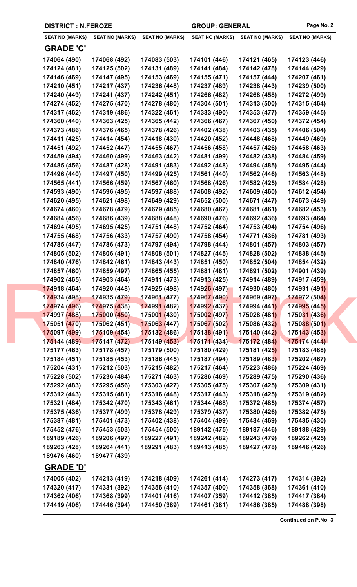|  | <b>DISTRICT : N.FEROZE</b>       |                        |                             | <b>GROUP: GENERAL</b>  |                        | Page No. 2             |
|--|----------------------------------|------------------------|-----------------------------|------------------------|------------------------|------------------------|
|  | <b>SEAT NO (MARKS)</b>           | <b>SEAT NO (MARKS)</b> | <b>SEAT NO (MARKS)</b>      | <b>SEAT NO (MARKS)</b> | <b>SEAT NO (MARKS)</b> | <b>SEAT NO (MARKS)</b> |
|  | <b>GRADE 'C'</b>                 |                        |                             |                        |                        |                        |
|  | 174064 (490)                     | 174068 (492)           | 174083 (503)                | 174101 (446)           | 174121 (465)           | 174123 (446)           |
|  | 174124 (481)                     | 174125 (502)           | 174131 (489)                | 174141 (484)           | 174142 (478)           | 174144 (429)           |
|  | 174146 (469)                     | 174147 (495)           | 174153 (469)                | 174155 (471)           | 174157 (444)           | 174207 (461)           |
|  | 174210 (451)                     | 174217 (437)           | 174236 (448)                | 174237 (489)           | 174238 (443)           | 174239 (500)           |
|  | 174240 (449)                     | 174241 (437)           | 174242 (451)                | 174266 (482)           | 174268 (458)           | 174272 (499)           |
|  | 174274 (452)                     | 174275 (470)           | 174278 (480)                | 174304 (501)           | 174313 (500)           | 174315 (464)           |
|  | 174317 (462)                     | 174319 (486)           | 174322 (461)                | 174333 (490)           | 174353 (477)           | 174359 (445)           |
|  | 174360 (440)                     | 174363 (425)           | 174365 (442)                | 174366 (467)           | 174367 (450)           | 174372 (454)           |
|  | 174373 (486)                     | 174376 (465)           | 174378 (426)                | 174402 (438)           | 174403 (435)           | 174406 (504)           |
|  | 174411 (425)                     | 174414 (454)           | 174418 (430)                | 174420 (452)           | 174448 (468)           | 174449 (469)           |
|  | 174451 (492)                     | 174452 (447)           | 174455 (467)                | 174456 (458)           | 174457 (426)           | 174458 (463)           |
|  | 174459 (494)                     | 174460 (499)           | 174463 (442)                | 174481 (499)           | 174482 (438)           | 174484 (459)           |
|  | 174485 (456)                     | 174487 (428)           | 174491 (483)                | 174492 (448)           | 174494 (485)           | 174495 (444)           |
|  | 174496 (440)                     | 174497 (450)           | 174499 (425)                | 174561 (440)           | 174562 (446)           | 174563 (448)           |
|  | 174565 (441)                     | 174566 (459)           | 174567 (460)                | 174568 (426)           | 174582 (425)           | 174584 (428)           |
|  | 174593 (490)                     | 174596 (495)           | 174597 (488)                | 174608 (492)           | 174609 (460)           | 174612 (454)           |
|  | 174620 (495)                     | 174621 (498)           | 174649 (429)                | 174652 (500)           | 174671 (447)           | 174673 (449)           |
|  | 174674 (460)                     | 174678 (479)           | 174679 (485)                | 174680 (467)           | 174681 (461)           | 174682 (453)           |
|  | 174684 (456)                     | 174686 (439)           | 174688 (448)                | 174690 (476)           | 174692 (436)           | 174693 (464)           |
|  | 174694 (495)                     | 174695 (425)           | 174751 (448)                | 174752 (464)           | 174753 (494)           | 174754 (496)           |
|  | 174755 (468)                     | 174756 (433)           | 174757 (490)                | 174758 (454)           | 174771 (436)           | 174781 (493)           |
|  | 174785 (447)                     | 174786 (473)           | 174797 (494)                | 174798 (444)           | 174801 (457)           | 174803 (457)           |
|  | 174805 (502)                     | 174806 (491)           | 174808 (501)                | 174827 (445)           | 174828 (502)           | 174838 (445)           |
|  | 174840 (476)                     | 174842 (461)           | 174843 (443)                | 174851 (450)           | 174852 (504)           | 174854 (432)           |
|  | 174857 (460)                     | 174859 (497)           | 174865 (455)                | 174881 (481)           | 174891 (502)           | 174901 (439)           |
|  | 174902 (465)                     | 174903 (464)           | 174911 (473)                | 174913 (425)           | 174914 (489)           | 174917 (459)           |
|  | 174918 (464)                     | 174920 (448)           | 174925 (498)                | 174926 (497)           | 174930 (480)           | 174931 (491)           |
|  | 174934 (498)                     | 174935 (479)           | 174961 (477)                | 174967 (490)           | 174969 (497)           | 174972 (504)           |
|  | 174974 (496)                     | 174975 (438)           | 174991 (482)                | 174992 (437)           | 174994 (441)           | 174995 (445)           |
|  | 174997 (488)                     | 175000 (450)           | 17500 <mark>1 (</mark> 430) | 175002 (497)           | 175028 (481)           | 175031 (436)           |
|  | 175051 (470)                     | 175062 (451)           | 175063 (447)                | 175067 (502)           | 175086 (432)           | 175088 (501)           |
|  | 175097 (499)                     | 175109 (454)           | 175132 (486)                | 175138 (491)           | 175140 (442)           | 175143 (453)           |
|  | 175144 (489)                     | 175147 (472)           | 175149 (453)                | 175171 (434)           | 175172 (484)           | 175174 (444)           |
|  | 175177 (463)                     | 175178 (457)           | 175179 (500)                | 175180 (429)           | 175181 (425)           | 175183 (488)           |
|  | 175184 (451)                     | 175185 (453)           | 175186 (445)                | 175187 (494)           | 175189 (483)           | 175202 (467)           |
|  | 175204 (431)                     | 175212 (503)           | 175215 (482)                | 175217 (464)           | 175223 (486)           | 175224 (469)           |
|  | 175228 (502)                     | 175236 (484)           | 175271 (463)                | 175286 (469)           | 175289 (475)           | 175290 (436)           |
|  | 175292 (483)                     | 175295 (456)           | 175303 (427)                | 175305 (475)           | 175307 (425)           | 175309 (431)           |
|  | 175312 (443)                     | 175315 (481)           | 175316 (448)                | 175317 (443)           | 175318 (425)           | 175319 (482)           |
|  | 175321 (484)                     | 175342 (470)           | 175343 (461)                | 175344 (468)           | 175372 (485)           | 175374 (457)           |
|  | 175375 (436)                     | 175377 (499)           | 175378 (429)                | 175379 (437)           | 175380 (426)           | 175382 (475)           |
|  | 175387 (481)                     | 175401 (473)           | 175402 (438)                | 175404 (499)           | 175434 (469)           | 175435 (430)           |
|  | 175452 (476)                     | 175453 (503)           | 175454 (500)                | 189142 (475)           | 189187 (446)           | 189188 (429)           |
|  | 189189 (426)                     | 189206 (497)           | 189227 (491)                | 189242 (482)           | 189243 (479)           | 189262 (425)           |
|  | 189263 (428)                     | 189264 (441)           | 189291 (483)                | 189413 (485)           | 189427 (478)           | 189446 (426)           |
|  | 189476 (460)<br><b>GRADE 'D'</b> | 189477 (439)           |                             |                        |                        |                        |
|  | 174005 (402)                     | 174213 (419)           | 174218 (409)                | 174261 (414)           | 174273 (417)           | 174314 (392)           |
|  | 174320 (417)                     | 174331 (392)           | 174356 (410)                | 174357 (400)           | 174358 (368)           | 174361 (410)           |
|  | 174362 (406)                     | 174368 (399)           | 174401 (416)                | 174407 (359)           | 174412 (385)           | 174417 (384)           |
|  | 174419 (406)                     | 174446 (394)           | 174450 (389)                | 174461 (381)           | 174486 (385)           | 174488 (398)           |
|  |                                  |                        |                             |                        |                        |                        |

**Continued on P.No: 3**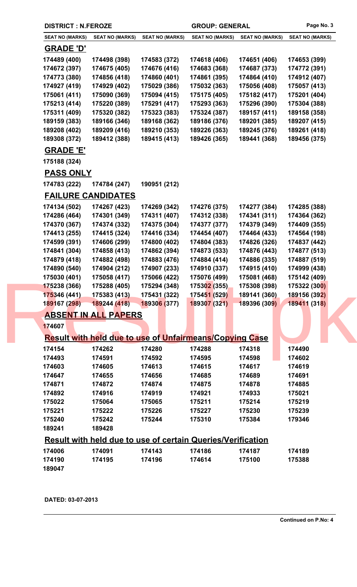| <b>DISTRICT : N.FEROZE</b> |                                                                    |                        | <b>GROUP: GENERAL</b>  |                        | Page No. 3             |  |
|----------------------------|--------------------------------------------------------------------|------------------------|------------------------|------------------------|------------------------|--|
| <b>SEAT NO (MARKS)</b>     | <b>SEAT NO (MARKS)</b>                                             | <b>SEAT NO (MARKS)</b> | <b>SEAT NO (MARKS)</b> | <b>SEAT NO (MARKS)</b> | <b>SEAT NO (MARKS)</b> |  |
| <b>GRADE 'D'</b>           |                                                                    |                        |                        |                        |                        |  |
| 174489 (400)               | 174498 (398)                                                       | 174583 (372)           | 174618 (406)           | 174651 (406)           | 174653 (399)           |  |
| 174672 (397)               | 174675 (405)                                                       | 174676 (416)           | 174683 (368)           | 174687 (373)           | 174772 (391)           |  |
| 174773 (380)               | 174856 (418)                                                       | 174860 (401)           | 174861 (395)           | 174864 (410)           | 174912 (407)           |  |
| 174927 (419)               | 174929 (402)                                                       | 175029 (386)           | 175032 (363)           | 175056 (408)           | 175057 (413)           |  |
| 175061 (411)               | 175090 (369)                                                       | 175094 (415)           | 175175 (405)           | 175182 (417)           | 175201 (404)           |  |
| 175213 (414)               | 175220 (389)                                                       | 175291 (417)           | 175293 (363)           | 175296 (390)           | 175304 (388)           |  |
| 175311 (409)               | 175320 (382)                                                       | 175323 (383)           | 175324 (387)           | 189157 (411)           | 189158 (358)           |  |
| 189159 (383)               | 189166 (346)                                                       | 189168 (362)           | 189186 (376)           | 189201 (385)           | 189207 (415)           |  |
| 189208 (402)               | 189209 (416)                                                       | 189210 (353)           | 189226 (363)           | 189245 (376)           | 189261 (418)           |  |
| 189308 (372)               | 189412 (388)                                                       | 189415 (413)           | 189426 (365)           | 189441 (368)           | 189456 (375)           |  |
| <b>GRADE 'E'</b>           |                                                                    |                        |                        |                        |                        |  |
| 175188 (324)               |                                                                    |                        |                        |                        |                        |  |
| <b>PASS ONLY</b>           |                                                                    |                        |                        |                        |                        |  |
| 174783 (222)               | 174784 (247)                                                       | 190951 (212)           |                        |                        |                        |  |
|                            | <b>FAILURE CANDIDATES</b>                                          |                        |                        |                        |                        |  |
| 174134 (502)               | 174267 (423)                                                       | 174269 (342)           | 174276 (375)           | 174277 (384)           | 174285 (388)           |  |
| 174286 (464)               | 174301 (349)                                                       | 174311 (407)           | 174312 (338)           | 174341 (311)           | 174364 (362)           |  |
| 174370 (367)               | 174374 (332)                                                       | 174375 (304)           | 174377 (377)           | 174379 (349)           | 174409 (355)           |  |
| 174413 (255)               | 174415 (324)                                                       | 174416 (334)           | 174454 (407)           | 174464 (433)           | 174564 (198)           |  |
| 174599 (391)               | 174606 (299)                                                       | 174800 (402)           | 174804 (383)           | 174826 (326)           | 174837 (442)           |  |
| 174841 (304)               | 174858 (413)                                                       | 174862 (394)           | 174873 (533)           | 174876 (443)           | 174877 (513)           |  |
| 174879 (418)               | 174882 (498)                                                       | 174883 (476)           | 174884 (414)           | 174886 (335)           | 174887 (519)           |  |
| 174890 (540)               | 174904 (212)                                                       | 174907 (233)           | 174910 (337)           | 174915 (410)           | 174999 (438)           |  |
| 175030 (401)               | 175058 (417)                                                       | 175066 (422)           | 175076 (499)           | 175081 (468)           | 175142 (409)           |  |
| 175238 (366)               | 175288 (405)                                                       | 175294 (348)           | 175302(355)            | 175308 (398)           | 175322 (300)           |  |
| 175346 (441)               | 175383(413)                                                        | 175431 (322)           | 175451 (529)           | 189141 (360)           | 189156 (392)           |  |
| 189167 (298) 189244 (418)  |                                                                    | 189306 (377)           | 189307 (321)           | 189396 (309)           | 189411 (318)           |  |
|                            | <b>ABSENT IN ALL PAPERS</b>                                        |                        |                        |                        |                        |  |
| 174607                     |                                                                    |                        |                        |                        |                        |  |
|                            | <b>Result with held due to use of Unfairmeans/Copying Case</b>     |                        |                        |                        |                        |  |
| 174154                     | 174262                                                             | 174280                 | 174288                 | 174318                 | 174490                 |  |
| 174493                     | 174591                                                             | 174592                 | 174595                 | 174598                 | 174602                 |  |
| 174603                     | 174605                                                             | 174613                 | 174615                 | 174617                 | 174619                 |  |
| 174647                     | 174655                                                             | 174656                 | 174685                 | 174689                 | 174691                 |  |
| 174871                     | 174872                                                             | 174874                 | 174875                 | 174878                 | 174885                 |  |
| 174892                     | 174916                                                             | 174919                 | 174921                 | 174933                 | 175021                 |  |
| 175022                     | 175064                                                             | 175065                 | 175211                 | 175214                 | 175219                 |  |
| 175221                     | 175222                                                             | 175226                 | 175227                 | 175230                 | 175239                 |  |
| 175240<br>189241           | 175242<br>189428                                                   | 175244                 | 175310                 | 175384                 | 179346                 |  |
|                            |                                                                    |                        |                        |                        |                        |  |
|                            | <b>Result with held due to use of certain Queries/Verification</b> |                        |                        |                        |                        |  |
| 174006                     | 174091                                                             | 174143                 | 174186                 | 174187                 | 174189                 |  |
| 174190<br>189047           | 174195                                                             | 174196                 | 174614                 | 175100                 | 175388                 |  |
|                            |                                                                    |                        |                        |                        |                        |  |

**DATED: 03-07-2013**